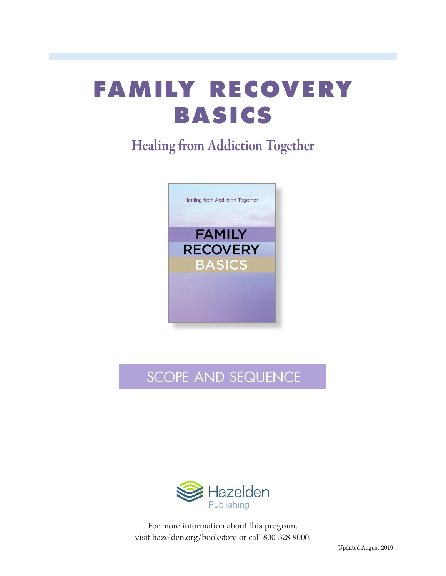# **FAMILY RECOVERY BASICS**

### Healing from Addiction Together



## SCOPE AND SEQUENCE



For more information about this program, visit hazelden.org/bookstore or call 800-328-9000.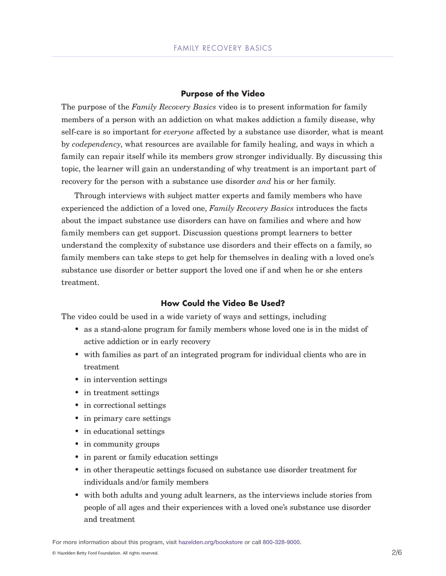#### **Purpose of the Video**

The purpose of the *Family Recovery Basics* video is to present information for family members of a person with an addiction on what makes addiction a family disease, why self-care is so important for *everyone* affected by a substance use disorder, what is meant by *codependency*, what resources are available for family healing, and ways in which a family can repair itself while its members grow stronger individually. By discussing this topic, the learner will gain an understanding of why treatment is an important part of recovery for the person with a substance use disorder *and* his or her family.

Through interviews with subject matter experts and family members who have experienced the addiction of a loved one, *Family Recovery Basics* introduces the facts about the impact substance use disorders can have on families and where and how family members can get support. Discussion questions prompt learners to better understand the complexity of substance use disorders and their effects on a family, so family members can take steps to get help for themselves in dealing with a loved one's substance use disorder or better support the loved one if and when he or she enters treatment.

#### **How Could the Video Be Used?**

The video could be used in a wide variety of ways and settings, including

- as a stand-alone program for family members whose loved one is in the midst of active addiction or in early recovery
- with families as part of an integrated program for individual clients who are in treatment
- in intervention settings
- in treatment settings
- in correctional settings
- in primary care settings
- in educational settings
- in community groups
- in parent or family education settings
- in other therapeutic settings focused on substance use disorder treatment for individuals and/or family members
- with both adults and young adult learners, as the interviews include stories from people of all ages and their experiences with a loved one's substance use disorder and treatment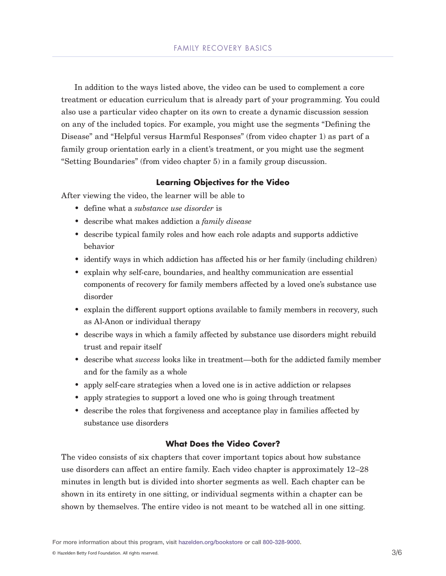In addition to the ways listed above, the video can be used to complement a core treatment or education curriculum that is already part of your programming. You could also use a particular video chapter on its own to create a dynamic discussion session on any of the included topics. For example, you might use the segments "Defining the Disease" and "Helpful versus Harmful Responses" (from video chapter 1) as part of a family group orientation early in a client's treatment, or you might use the segment "Setting Boundaries" (from video chapter 5) in a family group discussion.

#### **Learning Objectives for the Video**

After viewing the video, the learner will be able to

- define what a *substance use disorder* is
- describe what makes addiction a *family disease*
- describe typical family roles and how each role adapts and supports addictive behavior
- identify ways in which addiction has affected his or her family (including children)
- explain why self-care, boundaries, and healthy communication are essential components of recovery for family members affected by a loved one's substance use disorder
- explain the different support options available to family members in recovery, such as Al-Anon or individual therapy
- describe ways in which a family affected by substance use disorders might rebuild trust and repair itself
- describe what *success* looks like in treatment—both for the addicted family member and for the family as a whole
- apply self-care strategies when a loved one is in active addiction or relapses
- apply strategies to support a loved one who is going through treatment
- describe the roles that forgiveness and acceptance play in families affected by substance use disorders

#### **What Does the Video Cover?**

The video consists of six chapters that cover important topics about how substance use disorders can affect an entire family. Each video chapter is approximately 12–28 minutes in length but is divided into shorter segments as well. Each chapter can be shown in its entirety in one sitting, or individual segments within a chapter can be shown by themselves. The entire video is not meant to be watched all in one sitting.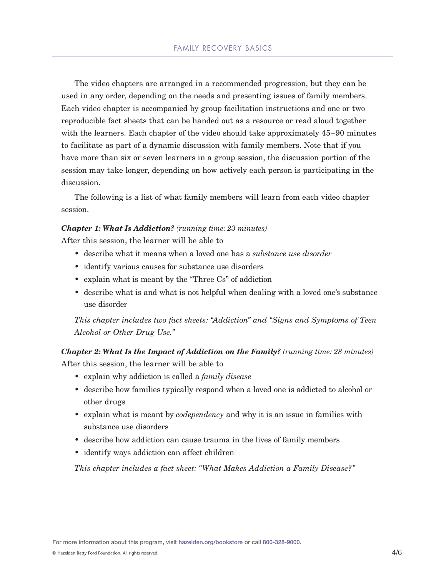The video chapters are arranged in a recommended progression, but they can be used in any order, depending on the needs and presenting issues of family members. Each video chapter is accompanied by group facilitation instructions and one or two reproducible fact sheets that can be handed out as a resource or read aloud together with the learners. Each chapter of the video should take approximately 45–90 minutes to facilitate as part of a dynamic discussion with family members. Note that if you have more than six or seven learners in a group session, the discussion portion of the session may take longer, depending on how actively each person is participating in the discussion.

The following is a list of what family members will learn from each video chapter session.

#### *Chapter 1: What Is Addiction? (running time: 23 minutes)*

After this session, the learner will be able to

- describe what it means when a loved one has a *substance use disorder*
- identify various causes for substance use disorders
- explain what is meant by the "Three Cs" of addiction
- describe what is and what is not helpful when dealing with a loved one's substance use disorder

*This chapter includes two fact sheets: "Addiction" and "Signs and Symptoms of Teen Alcohol or Other Drug Use."*

*Chapter 2: What Is the Impact of Addiction on the Family? (running time: 28 minutes)* After this session, the learner will be able to

- explain why addiction is called a *family disease*
- describe how families typically respond when a loved one is addicted to alcohol or other drugs
- explain what is meant by *codependency* and why it is an issue in families with substance use disorders
- describe how addiction can cause trauma in the lives of family members
- identify ways addiction can affect children

*This chapter includes a fact sheet: "What Makes Addiction a Family Disease?"*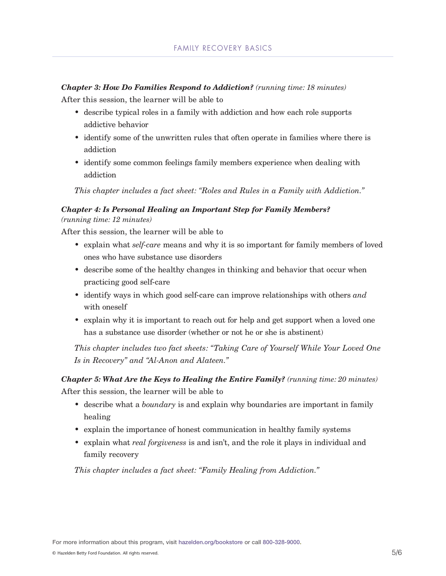*Chapter 3: How Do Families Respond to Addiction? (running time: 18 minutes)*

After this session, the learner will be able to

- describe typical roles in a family with addiction and how each role supports addictive behavior
- identify some of the unwritten rules that often operate in families where there is addiction
- identify some common feelings family members experience when dealing with addiction

*This chapter includes a fact sheet: "Roles and Rules in a Family with Addiction."*

#### *Chapter 4: Is Personal Healing an Important Step for Family Members? (running time: 12 minutes)*

After this session, the learner will be able to

- explain what *self-care* means and why it is so important for family members of loved ones who have substance use disorders
- describe some of the healthy changes in thinking and behavior that occur when practicing good self-care
- identify ways in which good self-care can improve relationships with others *and* with oneself
- explain why it is important to reach out for help and get support when a loved one has a substance use disorder (whether or not he or she is abstinent)

*This chapter includes two fact sheets: "Taking Care of Yourself While Your Loved One Is in Recovery" and "Al-Anon and Alateen."*

*Chapter 5: What Are the Keys to Healing the Entire Family? (running time: 20 minutes)* After this session, the learner will be able to

- describe what a *boundary* is and explain why boundaries are important in family healing
- explain the importance of honest communication in healthy family systems
- explain what *real forgiveness* is and isn't, and the role it plays in individual and family recovery

*This chapter includes a fact sheet: "Family Healing from Addiction."*